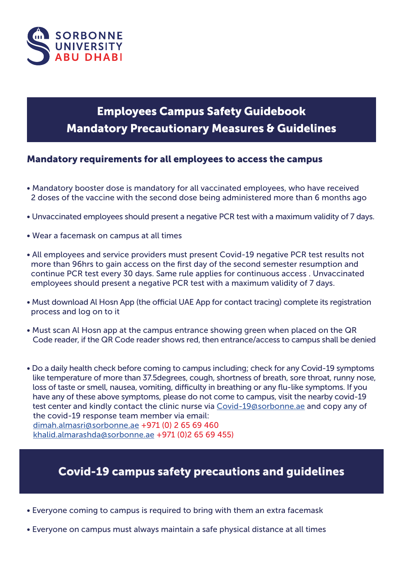

# Employees Campus Safety Guidebook Mandatory Precautionary Measures & Guidelines

### Mandatory requirements for all employees to access the campus

- Mandatory booster dose is mandatory for all vaccinated employees, who have received 2 doses of the vaccine with the second dose being administered more than 6 months ago
- Unvaccinated employees should present a negative PCR test with a maximum validity of 7 days.
- Wear a facemask on campus at all times
- All employees and service providers must present Covid-19 negative PCR test results not more than 96hrs to gain access on the first day of the second semester resumption and continue PCR test every 30 days. Same rule applies for continuous access . Unvaccinated employees should present a negative PCR test with a maximum validity of 7 days.
- Must download Al Hosn App (the official UAE App for contact tracing) complete its registration process and log on to it
- Must scan Al Hosn app at the campus entrance showing green when placed on the QR Code reader, if the QR Code reader shows red, then entrance/access to campus shall be denied
- Do a daily health check before coming to campus including; check for any Covid-19 symptoms like temperature of more than 37.5degrees, cough, shortness of breath, sore throat, runny nose, loss of taste or smell, nausea, vomiting, difficulty in breathing or any flu-like symptoms. If you have any of these above symptoms, please do not come to campus, visit the nearby covid-19 test center and kindly contact the clinic nurse via Covid-19@sorbonne.ae and copy any of the covid-19 response team member via email: dimah.almasri@sorbonne.ae +971 (0) 2 65 69 460 khalid.almarashda@sorbonne.ae +971 (0)2 65 69 455)

## Covid-19 campus safety precautions and guidelines

- Everyone coming to campus is required to bring with them an extra facemask
- Everyone on campus must always maintain a safe physical distance at all times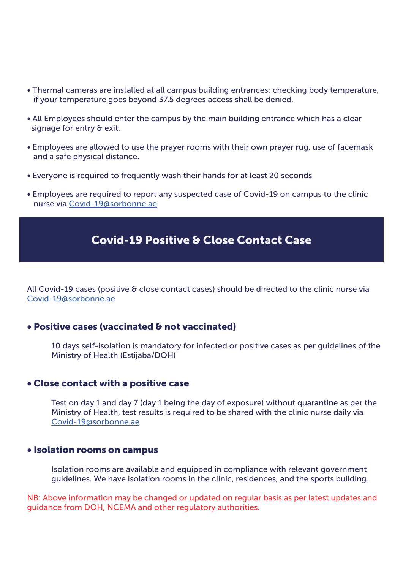- Thermal cameras are installed at all campus building entrances; checking body temperature, if your temperature goes beyond 37.5 degrees access shall be denied.
- All Employees should enter the campus by the main building entrance which has a clear signage for entry & exit.
- Employees are allowed to use the prayer rooms with their own prayer rug, use of facemask and a safe physical distance.
- Everyone is required to frequently wash their hands for at least 20 seconds
- Employees are required to report any suspected case of Covid-19 on campus to the clinic nurse via Covid-19@sorbonne.ae

### Covid-19 Positive & Close Contact Case

All Covid-19 cases (positive & close contact cases) should be directed to the clinic nurse via Covid-19@sorbonne.ae

#### • Positive cases (vaccinated & not vaccinated)

10 days self-isolation is mandatory for infected or positive cases as per guidelines of the Ministry of Health (Estijaba/DOH)

#### • Close contact with a positive case

Test on day 1 and day 7 (day 1 being the day of exposure) without quarantine as per the Ministry of Health, test results is required to be shared with the clinic nurse daily via Covid-19@sorbonne.ae

#### • Isolation rooms on campus

Isolation rooms are available and equipped in compliance with relevant government guidelines. We have isolation rooms in the clinic, residences, and the sports building.

NB: Above information may be changed or updated on regular basis as per latest updates and guidance from DOH, NCEMA and other regulatory authorities.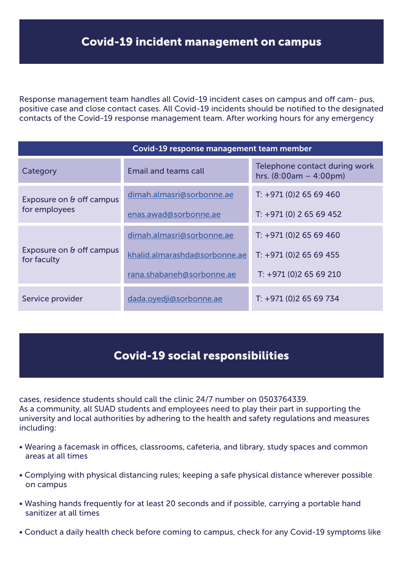Response management team handles all Covid-19 incident cases on campus and off cam- pus, positive case and close contact cases. All Covid-19 incidents should be notified to the designated contacts of the Covid-19 response management team. After working hours for any emergency

| Covid-19 response management team member  |                               |                                                           |
|-------------------------------------------|-------------------------------|-----------------------------------------------------------|
| Category                                  | Email and teams call          | Telephone contact during work<br>hrs. $(8:00am - 4:00pm)$ |
| Exposure on & off campus<br>for employees | dimah.almasri@sorbonne.ae     | $T: +971(0)26569460$                                      |
|                                           | enas.awad@sorbonne.ae         | $T: +971(0)$ 2 65 69 452                                  |
| Exposure on & off campus<br>for faculty   | dimah.almasri@sorbonne.ae     | $T: +971(0)26569460$                                      |
|                                           | khalid.almarashda@sorbonne.ae | $T: +971(0)26569455$                                      |
|                                           | rana.shabaneh@sorbonne.ae     | $T: +971(0)26569210$                                      |
| Service provider                          | dada.oyedji@sorbonne.ae       | T: +971 (0)2 65 69 734                                    |

### Covid-19 social responsibilities

cases, residence students should call the clinic 24/7 number on 0503764339. As a community, all SUAD students and employees need to play their part in supporting the university and local authorities by adhering to the health and safety regulations and measures including:

- Wearing a facemask in offices, classrooms, cafeteria, and library, study spaces and common areas at all times
- Complying with physical distancing rules; keeping a safe physical distance wherever possible on campus
- Washing hands frequently for at least 20 seconds and if possible, carrying a portable hand sanitizer at all times
- Conduct a daily health check before coming to campus, check for any Covid-19 symptoms like